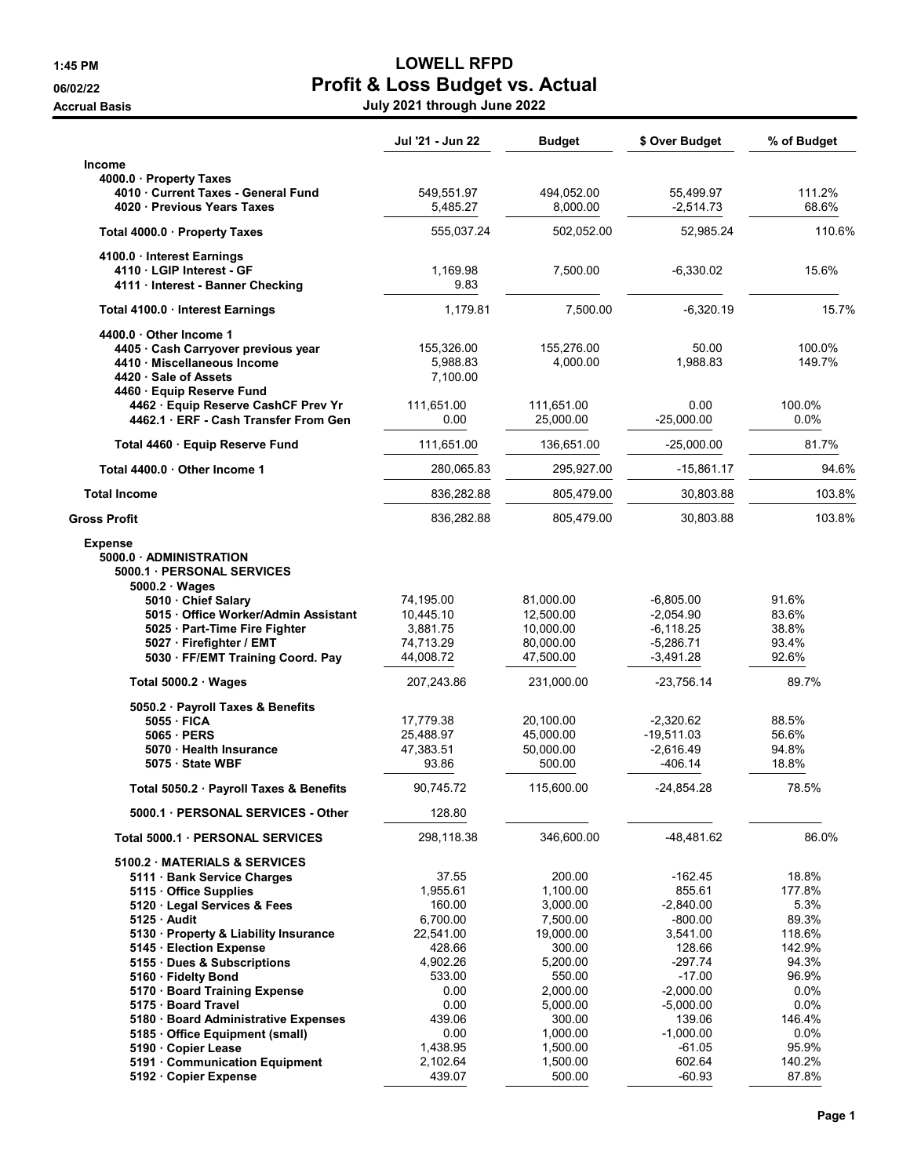## 1:45 PM LOWELL RFPD 06/02/22 **Profit & Loss Budget vs. Actual**

Accrual Basis July 2021 through June 2022

|                                                                                                                                                                                                                                                          | Jul '21 - Jun 22                                                                     | Budget                                                                                  | \$ Over Budget                                                                                 | % of Budget                                                            |
|----------------------------------------------------------------------------------------------------------------------------------------------------------------------------------------------------------------------------------------------------------|--------------------------------------------------------------------------------------|-----------------------------------------------------------------------------------------|------------------------------------------------------------------------------------------------|------------------------------------------------------------------------|
| <b>Income</b>                                                                                                                                                                                                                                            |                                                                                      |                                                                                         |                                                                                                |                                                                        |
| 4000.0 Property Taxes<br>4010 Current Taxes - General Fund<br>4020 Previous Years Taxes                                                                                                                                                                  | 549,551.97<br>5,485.27                                                               | 494,052.00<br>8,000.00                                                                  | 55,499.97<br>$-2,514.73$                                                                       | 111.2%<br>68.6%                                                        |
| Total 4000.0 · Property Taxes                                                                                                                                                                                                                            | 555,037.24                                                                           | 502,052.00                                                                              | 52,985.24                                                                                      | 110.6%                                                                 |
| 4100.0 Interest Earnings<br>4110 LGIP Interest - GF<br>4111 · Interest - Banner Checking                                                                                                                                                                 | 1,169.98<br>9.83                                                                     | 7,500.00                                                                                | $-6,330.02$                                                                                    | 15.6%                                                                  |
| Total 4100.0 · Interest Earnings                                                                                                                                                                                                                         | 1,179.81                                                                             | 7.500.00                                                                                | -6,320.19                                                                                      | 15.7%                                                                  |
| 4400.0 Other Income 1<br>4405 · Cash Carryover previous year<br>4410 Miscellaneous Income<br>4420 Sale of Assets<br>4460 · Equip Reserve Fund                                                                                                            | 155,326.00<br>5,988.83<br>7,100.00                                                   | 155,276.00<br>4,000.00                                                                  | 50.00<br>1,988.83                                                                              | 100.0%<br>149.7%                                                       |
| 4462 · Equip Reserve CashCF Prev Yr<br>4462.1 ERF - Cash Transfer From Gen                                                                                                                                                                               | 111,651.00<br>0.00                                                                   | 111,651.00<br>25,000.00                                                                 | 0.00<br>$-25,000.00$                                                                           | 100.0%<br>$0.0\%$                                                      |
| Total 4460 Equip Reserve Fund                                                                                                                                                                                                                            | 111,651.00                                                                           | 136,651.00                                                                              | $-25,000.00$                                                                                   | 81.7%                                                                  |
| Total 4400.0 Other Income 1                                                                                                                                                                                                                              | 280,065.83                                                                           | 295,927.00                                                                              | $-15,861.17$                                                                                   | 94.6%                                                                  |
| <b>Total Income</b>                                                                                                                                                                                                                                      | 836,282.88                                                                           | 805,479.00                                                                              | 30,803.88                                                                                      | 103.8%                                                                 |
| <b>Gross Profit</b>                                                                                                                                                                                                                                      | 836,282.88                                                                           | 805,479.00                                                                              | 30,803.88                                                                                      | 103.8%                                                                 |
| <b>Expense</b><br>5000.0 ADMINISTRATION<br>5000.1 PERSONAL SERVICES<br>5000.2 · Wages                                                                                                                                                                    | 74,195.00                                                                            | 81,000.00                                                                               | $-6,805.00$                                                                                    | 91.6%                                                                  |
| 5010 Chief Salary<br>5015 · Office Worker/Admin Assistant<br>5025 · Part-Time Fire Fighter<br>5027 · Firefighter / EMT<br>5030 · FF/EMT Training Coord. Pay                                                                                              | 10,445.10<br>3,881.75<br>74,713.29<br>44,008.72                                      | 12,500.00<br>10,000.00<br>80,000.00<br>47,500.00                                        | $-2,054.90$<br>$-6, 118.25$<br>$-5,286.71$<br>$-3,491.28$                                      | 83.6%<br>38.8%<br>93.4%<br>92.6%                                       |
| Total $5000.2 \cdot Wages$                                                                                                                                                                                                                               | 207,243.86                                                                           | 231,000.00                                                                              | $-23,756.14$                                                                                   | 89.7%                                                                  |
| 5050.2 · Payroll Taxes & Benefits<br>5055 · FICA<br>5065 PERS<br>5070 · Health Insurance<br>5075 · State WBF                                                                                                                                             | 17,779.38<br>25,488.97<br>47,383.51<br>93.86                                         | 20,100.00<br>45,000.00<br>50,000.00<br>500.00                                           | $-2,320.62$<br>$-19,511.03$<br>$-2,616.49$<br>$-406.14$                                        | 88.5%<br>56.6%<br>94.8%<br>18.8%                                       |
| Total 5050.2 · Payroll Taxes & Benefits                                                                                                                                                                                                                  | 90,745.72                                                                            | 115,600.00                                                                              | $-24,854.28$                                                                                   | 78.5%                                                                  |
| 5000.1 PERSONAL SERVICES - Other                                                                                                                                                                                                                         | 128.80                                                                               |                                                                                         |                                                                                                |                                                                        |
| Total 5000.1 PERSONAL SERVICES                                                                                                                                                                                                                           | 298,118.38                                                                           | 346,600.00                                                                              | -48,481.62                                                                                     | 86.0%                                                                  |
| 5100.2 MATERIALS & SERVICES<br>5111 · Bank Service Charges<br>5115 Office Supplies<br>5120 · Legal Services & Fees<br>$5125$ Audit<br>5130 · Property & Liability Insurance<br>5145 Election Expense<br>5155 Dues & Subscriptions<br>5160 · Fidelty Bond | 37.55<br>1,955.61<br>160.00<br>6,700.00<br>22,541.00<br>428.66<br>4,902.26<br>533.00 | 200.00<br>1,100.00<br>3,000.00<br>7,500.00<br>19,000.00<br>300.00<br>5,200.00<br>550.00 | $-162.45$<br>855.61<br>$-2,840.00$<br>$-800.00$<br>3,541.00<br>128.66<br>$-297.74$<br>$-17.00$ | 18.8%<br>177.8%<br>5.3%<br>89.3%<br>118.6%<br>142.9%<br>94.3%<br>96.9% |
| 5170 · Board Training Expense<br>5175 Board Travel<br>5180 · Board Administrative Expenses<br>5185 · Office Equipment (small)<br>5190 Copier Lease<br>5191 Communication Equipment<br>5192 Copier Expense                                                | 0.00<br>0.00<br>439.06<br>0.00<br>1,438.95<br>2,102.64<br>439.07                     | 2,000.00<br>5,000.00<br>300.00<br>1,000.00<br>1,500.00<br>1,500.00<br>500.00            | $-2,000.00$<br>$-5,000.00$<br>139.06<br>$-1,000.00$<br>$-61.05$<br>602.64<br>$-60.93$          | $0.0\%$<br>0.0%<br>146.4%<br>$0.0\%$<br>95.9%<br>140.2%<br>87.8%       |